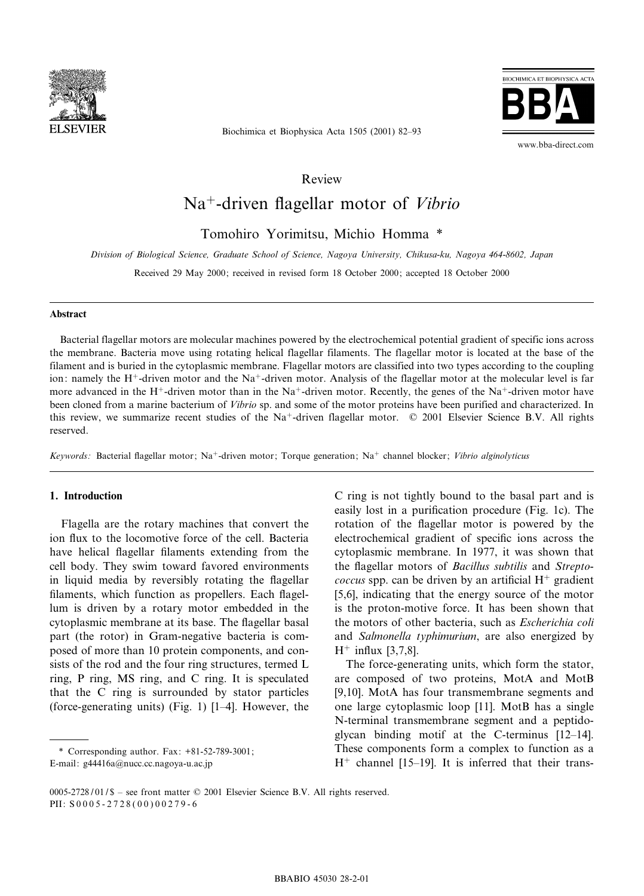

Biochimica et Biophysica Acta 1505 (2001) 82^93



www.bba-direct.com

Review

# Na<sup>+</sup>-driven flagellar motor of Vibrio

Tomohiro Yorimitsu, Michio Homma \*

Division of Biological Science, Graduate School of Science, Nagoya University, Chikusa-ku, Nagoya 464-8602, Japan

Received 29 May 2000; received in revised form 18 October 2000; accepted 18 October 2000

#### Abstract

Bacterial flagellar motors are molecular machines powered by the electrochemical potential gradient of specific ions across the membrane. Bacteria move using rotating helical flagellar filaments. The flagellar motor is located at the base of the filament and is buried in the cytoplasmic membrane. Flagellar motors are classified into two types according to the coupling ion: namely the H<sup>+</sup>-driven motor and the Na<sup>+</sup>-driven motor. Analysis of the flagellar motor at the molecular level is far more advanced in the H<sup>+</sup>-driven motor than in the Na<sup>+</sup>-driven motor. Recently, the genes of the Na<sup>+</sup>-driven motor have been cloned from a marine bacterium of *Vibrio* sp. and some of the motor proteins have been purified and characterized. In this review, we summarize recent studies of the Na<sup>+</sup>-driven flagellar motor.  $\odot$  2001 Elsevier Science B.V. All rights reserved.

Keywords: Bacterial flagellar motor; Na<sup>+</sup>-driven motor; Torque generation; Na<sup>+</sup> channel blocker; Vibrio alginolyticus

#### 1. Introduction

Flagella are the rotary machines that convert the ion flux to the locomotive force of the cell. Bacteria have helical flagellar filaments extending from the cell body. They swim toward favored environments in liquid media by reversibly rotating the flagellar filaments, which function as propellers. Each flagellum is driven by a rotary motor embedded in the cytoplasmic membrane at its base. The flagellar basal part (the rotor) in Gram-negative bacteria is composed of more than 10 protein components, and consists of the rod and the four ring structures, termed L ring, P ring, MS ring, and C ring. It is speculated that the C ring is surrounded by stator particles (force-generating units) (Fig. 1)  $[1-4]$ . However, the

\* Corresponding author. Fax: +81-52-789-3001; E-mail: g44416a@nucc.cc.nagoya-u.ac.jp

electrochemical gradient of specific ions across the cytoplasmic membrane. In 1977, it was shown that the flagellar motors of Bacillus subtilis and Strepto*coccus* spp. can be driven by an artificial  $H^+$  gradient [5,6], indicating that the energy source of the motor is the proton-motive force. It has been shown that the motors of other bacteria, such as Escherichia coli and Salmonella typhimurium, are also energized by  $H^+$  influx [3,7,8]. The force-generating units, which form the stator,

C ring is not tightly bound to the basal part and is easily lost in a purification procedure (Fig. 1c). The rotation of the flagellar motor is powered by the

are composed of two proteins, MotA and MotB [9,10]. MotA has four transmembrane segments and one large cytoplasmic loop [11]. MotB has a single N-terminal transmembrane segment and a peptidoglycan binding motif at the C-terminus  $[12-14]$ . These components form a complex to function as a  $H<sup>+</sup>$  channel [15-19]. It is inferred that their trans-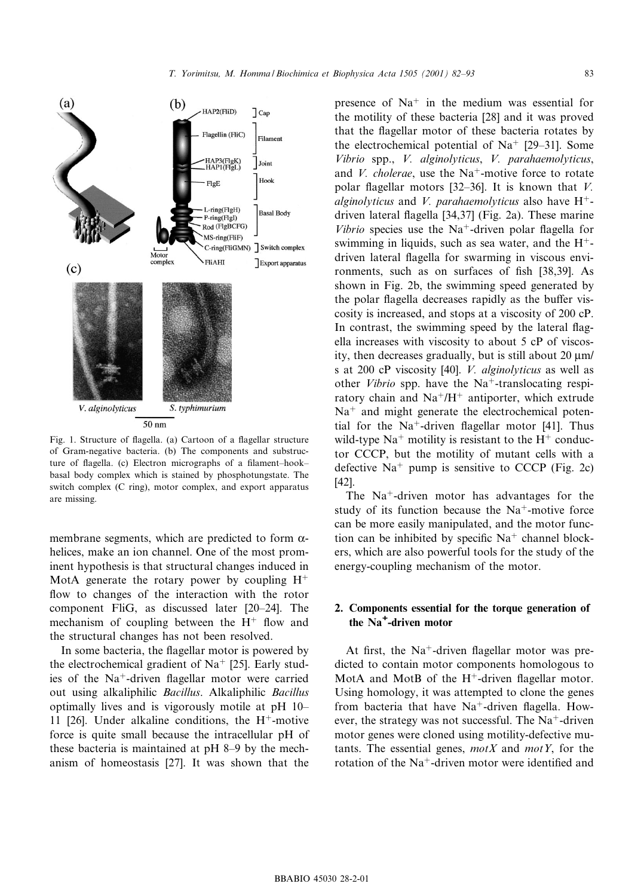

Fig. 1. Structure of flagella. (a) Cartoon of a flagellar structure of Gram-negative bacteria. (b) The components and substructure of flagella. (c) Electron micrographs of a filament-hookbasal body complex which is stained by phosphotungstate. The switch complex (C ring), motor complex, and export apparatus are missing.

membrane segments, which are predicted to form  $\alpha$ helices, make an ion channel. One of the most prominent hypothesis is that structural changes induced in MotA generate the rotary power by coupling  $H^+$ flow to changes of the interaction with the rotor component FliG, as discussed later [20^24]. The mechanism of coupling between the  $H^+$  flow and the structural changes has not been resolved.

In some bacteria, the flagellar motor is powered by the electrochemical gradient of  $Na<sup>+</sup>$  [25]. Early studies of the  $Na^+$ -driven flagellar motor were carried out using alkaliphilic Bacillus. Alkaliphilic Bacillus optimally lives and is vigorously motile at pH 10^ 11 [26]. Under alkaline conditions, the  $H^+$ -motive force is quite small because the intracellular pH of these bacteria is maintained at pH 8^9 by the mechanism of homeostasis [27]. It was shown that the

presence of  $Na<sup>+</sup>$  in the medium was essential for the motility of these bacteria [28] and it was proved that the flagellar motor of these bacteria rotates by the electrochemical potential of  $Na<sup>+</sup>$  [29-31]. Some Vibrio spp., V. alginolyticus, V. parahaemolyticus, and V. cholerae, use the  $Na^+$ -motive force to rotate polar flagellar motors [32-36]. It is known that  $V$ . alginolyticus and V. parahaemolyticus also have  $H^+$ driven lateral flagella [34,37] (Fig. 2a). These marine *Vibrio* species use the Na<sup>+</sup>-driven polar flagella for swimming in liquids, such as sea water, and the  $H^+$ driven lateral flagella for swarming in viscous environments, such as on surfaces of fish [38,39]. As shown in Fig. 2b, the swimming speed generated by the polar flagella decreases rapidly as the buffer viscosity is increased, and stops at a viscosity of 200 cP. In contrast, the swimming speed by the lateral flagella increases with viscosity to about 5 cP of viscosity, then decreases gradually, but is still about  $20 \mu m/$ s at 200 cP viscosity [40]. V. alginolyticus as well as other *Vibrio* spp. have the Na<sup>+</sup>-translocating respiratory chain and  $Na^{+}/H^{+}$  antiporter, which extrude  $Na<sup>+</sup>$  and might generate the electrochemical potential for the Na<sup>+</sup>-driven flagellar motor [41]. Thus wild-type  $Na<sup>+</sup>$  motility is resistant to the  $H<sup>+</sup>$  conductor CCCP, but the motility of mutant cells with a defective  $Na<sup>+</sup>$  pump is sensitive to CCCP (Fig. 2c) [42].

The  $Na<sup>+</sup>$ -driven motor has advantages for the study of its function because the  $Na^+$ -motive force can be more easily manipulated, and the motor function can be inhibited by specific  $Na<sup>+</sup>$  channel blockers, which are also powerful tools for the study of the energy-coupling mechanism of the motor.

## 2. Components essential for the torque generation of the Na<sup>+</sup> -driven motor

At first, the  $Na^+$ -driven flagellar motor was predicted to contain motor components homologous to MotA and MotB of the  $H^+$ -driven flagellar motor. Using homology, it was attempted to clone the genes from bacteria that have  $Na<sup>+</sup>$ -driven flagella. However, the strategy was not successful. The  $Na^+$ -driven motor genes were cloned using motility-defective mutants. The essential genes,  $motX$  and  $motY$ , for the rotation of the  $Na^+$ -driven motor were identified and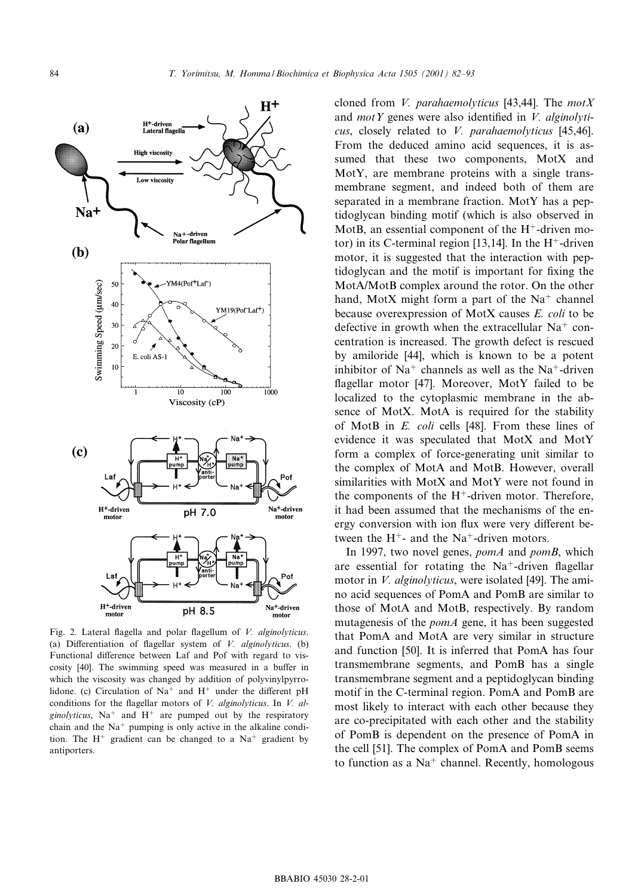

Fig. 2. Lateral flagella and polar flagellum of  $V$ . alginolyticus. (a) Differentiation of flagellar system of  $V$ . alginolyticus. (b) Functional difference between Laf and Pof with regard to viscosity [40]. The swimming speed was measured in a buffer in which the viscosity was changed by addition of polyvinylpyrrolidone. (c) Circulation of Na<sup>+</sup> and H<sup>+</sup> under the different pH conditions for the flagellar motors of  $V$ . alginolyticus. In  $V$ . alginolyticus, Na<sup>+</sup> and H<sup>+</sup> are pumped out by the respiratory chain and the  $Na<sup>+</sup>$  pumping is only active in the alkaline condition. The  $H^+$  gradient can be changed to a Na<sup>+</sup> gradient by antiporters.

cloned from *V. parahaemolyticus* [43,44]. The  $motX$ and *motY* genes were also identified in *V. alginolyti*cus, closely related to V. parahaemolyticus [45,46]. From the deduced amino acid sequences, it is assumed that these two components, MotX and MotY, are membrane proteins with a single transmembrane segment, and indeed both of them are separated in a membrane fraction. MotY has a peptidoglycan binding motif (which is also observed in MotB, an essential component of the  $H^+$ -driven motor) in its C-terminal region [13,14]. In the  $H^+$ -driven motor, it is suggested that the interaction with peptidoglycan and the motif is important for fixing the MotA/MotB complex around the rotor. On the other hand, MotX might form a part of the  $Na<sup>+</sup>$  channel because overexpression of MotX causes E. coli to be defective in growth when the extracellular  $Na<sup>+</sup>$  concentration is increased. The growth defect is rescued by amiloride [44], which is known to be a potent inhibitor of  $Na<sup>+</sup>$  channels as well as the Na<sup>+</sup>-driven flagellar motor [47]. Moreover, MotY failed to be localized to the cytoplasmic membrane in the absence of MotX. MotA is required for the stability of MotB in E. coli cells [48]. From these lines of evidence it was speculated that MotX and MotY form a complex of force-generating unit similar to the complex of MotA and MotB. However, overall similarities with MotX and MotY were not found in the components of the  $H^+$ -driven motor. Therefore, it had been assumed that the mechanisms of the energy conversion with ion flux were very different between the  $H^+$ - and the Na<sup>+</sup>-driven motors.

In 1997, two novel genes, *pomA* and *pomB*, which are essential for rotating the  $Na^+$ -driven flagellar motor in *V. alginolyticus*, were isolated [49]. The amino acid sequences of PomA and PomB are similar to those of MotA and MotB, respectively. By random mutagenesis of the *pomA* gene, it has been suggested that PomA and MotA are very similar in structure and function [50]. It is inferred that PomA has four transmembrane segments, and PomB has a single transmembrane segment and a peptidoglycan binding motif in the C-terminal region. PomA and PomB are most likely to interact with each other because they are co-precipitated with each other and the stability of PomB is dependent on the presence of PomA in the cell [51]. The complex of PomA and PomB seems to function as a  $Na<sup>+</sup>$  channel. Recently, homologous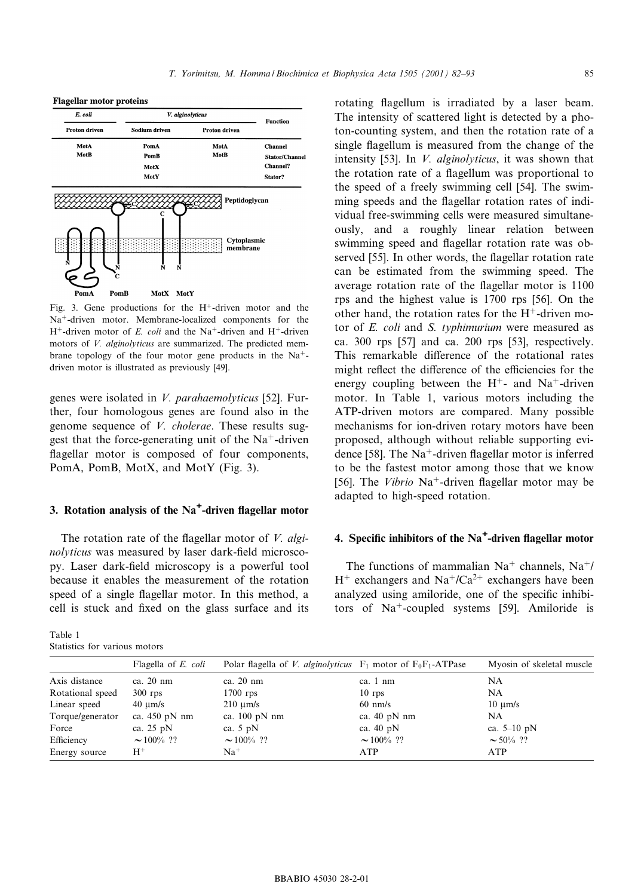**Flagellar motor proteins** 



Fig. 3. Gene productions for the  $H^+$ -driven motor and the  $Na<sup>+</sup>$ -driven motor. Membrane-localized components for the  $H^+$ -driven motor of E. coli and the Na<sup>+</sup>-driven and H<sup>+</sup>-driven motors of *V. alginolyticus* are summarized. The predicted membrane topology of the four motor gene products in the  $Na<sup>+</sup>$ driven motor is illustrated as previously [49].

genes were isolated in V. parahaemolyticus [52]. Further, four homologous genes are found also in the genome sequence of V. cholerae. These results suggest that the force-generating unit of the  $Na<sup>+</sup>$ -driven flagellar motor is composed of four components, PomA, PomB, MotX, and MotY (Fig. 3).

# 3. Rotation analysis of the  $Na<sup>+</sup>$ -driven flagellar motor

The rotation rate of the flagellar motor of  $V$ . alginolyticus was measured by laser dark-field microscopy. Laser dark-field microscopy is a powerful tool because it enables the measurement of the rotation speed of a single flagellar motor. In this method, a cell is stuck and fixed on the glass surface and its

Table 1 Statistics for various motors

rotating flagellum is irradiated by a laser beam. The intensity of scattered light is detected by a photon-counting system, and then the rotation rate of a single flagellum is measured from the change of the intensity [53]. In *V. alginolyticus*, it was shown that the rotation rate of a flagellum was proportional to the speed of a freely swimming cell [54]. The swimming speeds and the flagellar rotation rates of individual free-swimming cells were measured simultaneously, and a roughly linear relation between swimming speed and flagellar rotation rate was observed [55]. In other words, the flagellar rotation rate can be estimated from the swimming speed. The average rotation rate of the flagellar motor is 1100 rps and the highest value is 1700 rps [56]. On the other hand, the rotation rates for the  $H^+$ -driven motor of E. coli and S. typhimurium were measured as ca. 300 rps [57] and ca. 200 rps [53], respectively. This remarkable difference of the rotational rates might reflect the difference of the efficiencies for the energy coupling between the  $H^+$ - and Na<sup>+</sup>-driven motor. In Table 1, various motors including the ATP-driven motors are compared. Many possible mechanisms for ion-driven rotary motors have been proposed, although without reliable supporting evidence [58]. The  $Na^+$ -driven flagellar motor is inferred to be the fastest motor among those that we know [56]. The *Vibrio* Na<sup>+</sup>-driven flagellar motor may be adapted to high-speed rotation.

# 4. Specific inhibitors of the  $Na<sup>+</sup>$ -driven flagellar motor

The functions of mammalian  $Na<sup>+</sup>$  channels,  $Na<sup>+</sup>/$  $H^+$  exchangers and  $Na^+/Ca^{2+}$  exchangers have been analyzed using amiloride, one of the specific inhibitors of  $Na<sup>+</sup>$ -coupled systems [59]. Amiloride is

|                  | Flagella of E. coli        | Polar flagella of V. alginolyticus $F_1$ motor of $F_0F_1$ -ATPase |                        | Myosin of skeletal muscle  |
|------------------|----------------------------|--------------------------------------------------------------------|------------------------|----------------------------|
| Axis distance    | ca. 20 nm                  | ca. 20 nm                                                          | ca. 1 nm               | NA                         |
| Rotational speed | $300$ rps                  | $1700$ rps                                                         | $10$ rps               | NA                         |
| Linear speed     | $40 \text{ }\mu\text{m/s}$ | $210 \text{ }\mu\text{m/s}$                                        | $60 \text{ nm/s}$      | $10 \text{ }\mu\text{m/s}$ |
| Torque/generator | ca. $450$ pN nm            | ca. $100$ pN nm                                                    | ca. $40 \text{ pN nm}$ | NA                         |
| Force            | ca. $25 \text{ pN}$        | ca. $5 \text{ pN}$                                                 | ca. $40 \text{ pN}$    | ca. $5-10$ pN              |
| Efficiency       | $\sim 100\%$ ??            | $\sim 100\%$ ??                                                    | $\sim 100\%$ ??        | $\sim$ 50% ??              |
| Energy source    | $H^+$                      | $Na+$                                                              | ATP                    | ATP                        |
|                  |                            |                                                                    |                        |                            |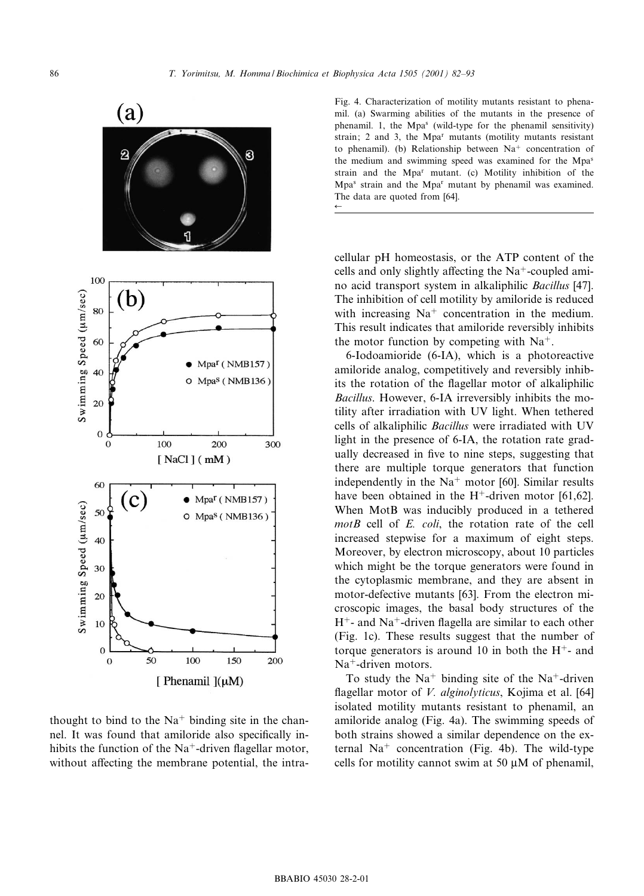

thought to bind to the  $Na<sup>+</sup>$  binding site in the channel. It was found that amiloride also specifically inhibits the function of the  $Na^+$ -driven flagellar motor, without affecting the membrane potential, the intra-

Fig. 4. Characterization of motility mutants resistant to phenamil. (a) Swarming abilities of the mutants in the presence of phenamil. 1, the Mpa<sup>s</sup> (wild-type for the phenamil sensitivity) strain; 2 and 3, the  $Mpa<sup>r</sup>$  mutants (motility mutants resistant to phenamil). (b) Relationship between  $Na<sup>+</sup>$  concentration of the medium and swimming speed was examined for the Mpas strain and the Mpar mutant. (c) Motility inhibition of the Mpa<sup>s</sup> strain and the Mpa<sup>r</sup> mutant by phenamil was examined. The data are quoted from [64].  $\leftarrow$ 

cellular pH homeostasis, or the ATP content of the cells and only slightly affecting the  $Na<sup>+</sup>$ -coupled amino acid transport system in alkaliphilic Bacillus [47]. The inhibition of cell motility by amiloride is reduced with increasing  $Na<sup>+</sup>$  concentration in the medium. This result indicates that amiloride reversibly inhibits the motor function by competing with  $Na<sup>+</sup>$ .

6-Iodoamioride (6-IA), which is a photoreactive amiloride analog, competitively and reversibly inhibits the rotation of the flagellar motor of alkaliphilic Bacillus. However, 6-IA irreversibly inhibits the motility after irradiation with UV light. When tethered cells of alkaliphilic Bacillus were irradiated with UV light in the presence of 6-IA, the rotation rate gradually decreased in five to nine steps, suggesting that there are multiple torque generators that function independently in the  $Na<sup>+</sup>$  motor [60]. Similar results have been obtained in the  $H^+$ -driven motor [61,62]. When MotB was inducibly produced in a tethered  $motB$  cell of  $E$ . *coli*, the rotation rate of the cell increased stepwise for a maximum of eight steps. Moreover, by electron microscopy, about 10 particles which might be the torque generators were found in the cytoplasmic membrane, and they are absent in motor-defective mutants [63]. From the electron microscopic images, the basal body structures of the  $H^+$ - and Na<sup>+</sup>-driven flagella are similar to each other (Fig. 1c). These results suggest that the number of torque generators is around 10 in both the  $H^+$ - and  $Na<sup>+</sup>$ -driven motors.

To study the  $Na<sup>+</sup>$  binding site of the Na<sup>+</sup>-driven flagellar motor of *V. alginolyticus*, Kojima et al.  $[64]$ isolated motility mutants resistant to phenamil, an amiloride analog (Fig. 4a). The swimming speeds of both strains showed a similar dependence on the external  $Na<sup>+</sup>$  concentration (Fig. 4b). The wild-type cells for motility cannot swim at 50  $\mu$ M of phenamil,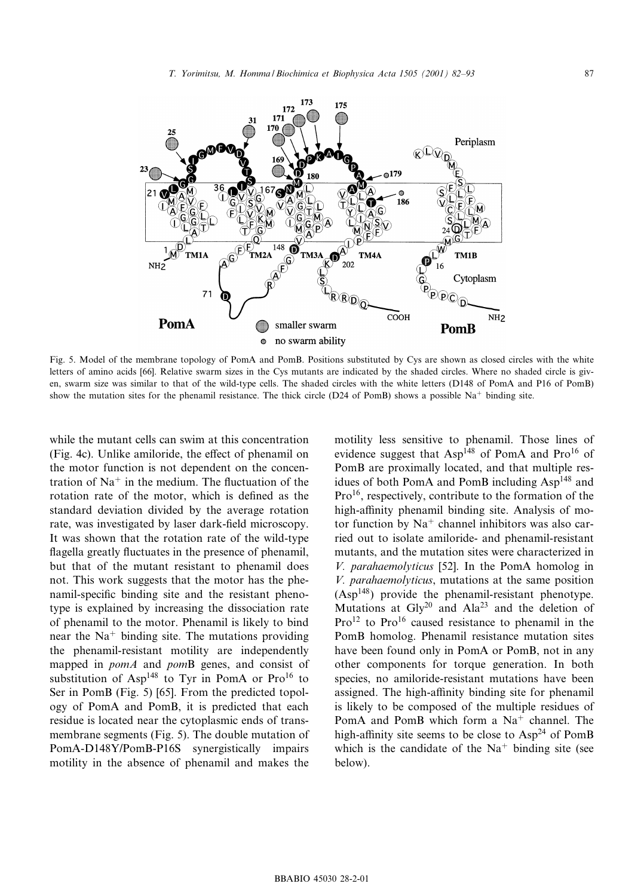

Fig. 5. Model of the membrane topology of PomA and PomB. Positions substituted by Cys are shown as closed circles with the white letters of amino acids [66]. Relative swarm sizes in the Cys mutants are indicated by the shaded circles. Where no shaded circle is given, swarm size was similar to that of the wild-type cells. The shaded circles with the white letters (D148 of PomA and P16 of PomB) show the mutation sites for the phenamil resistance. The thick circle (D24 of PomB) shows a possible  $Na<sup>+</sup>$  binding site.

while the mutant cells can swim at this concentration (Fig. 4c). Unlike amiloride, the effect of phenamil on the motor function is not dependent on the concentration of  $Na<sup>+</sup>$  in the medium. The fluctuation of the rotation rate of the motor, which is defined as the standard deviation divided by the average rotation rate, was investigated by laser dark-field microscopy. It was shown that the rotation rate of the wild-type flagella greatly fluctuates in the presence of phenamil, but that of the mutant resistant to phenamil does not. This work suggests that the motor has the phenamil-specific binding site and the resistant phenotype is explained by increasing the dissociation rate of phenamil to the motor. Phenamil is likely to bind near the  $Na<sup>+</sup>$  binding site. The mutations providing the phenamil-resistant motility are independently mapped in *pomA* and *pomB* genes, and consist of substitution of Asp<sup>148</sup> to Tyr in PomA or Pro<sup>16</sup> to Ser in PomB (Fig. 5) [65]. From the predicted topology of PomA and PomB, it is predicted that each residue is located near the cytoplasmic ends of transmembrane segments (Fig. 5). The double mutation of PomA-D148Y/PomB-P16S synergistically impairs motility in the absence of phenamil and makes the

motility less sensitive to phenamil. Those lines of evidence suggest that  $Asp^{148}$  of PomA and Pro<sup>16</sup> of PomB are proximally located, and that multiple residues of both PomA and PomB including Asp<sup>148</sup> and Pro<sup>16</sup>, respectively, contribute to the formation of the high-affinity phenamil binding site. Analysis of motor function by  $Na<sup>+</sup>$  channel inhibitors was also carried out to isolate amiloride- and phenamil-resistant mutants, and the mutation sites were characterized in V. parahaemolyticus [52]. In the PomA homolog in V. parahaemolyticus, mutations at the same position  $(Asp<sup>148</sup>)$  provide the phenamil-resistant phenotype. Mutations at  $\text{Gly}^{20}$  and  $\text{Ala}^{23}$  and the deletion of  $Pro<sup>12</sup>$  to  $Pro<sup>16</sup>$  caused resistance to phenamil in the PomB homolog. Phenamil resistance mutation sites have been found only in PomA or PomB, not in any other components for torque generation. In both species, no amiloride-resistant mutations have been assigned. The high-affinity binding site for phenamil is likely to be composed of the multiple residues of PomA and PomB which form a  $Na<sup>+</sup>$  channel. The high-affinity site seems to be close to  $Asp<sup>24</sup>$  of PomB which is the candidate of the  $Na<sup>+</sup>$  binding site (see below).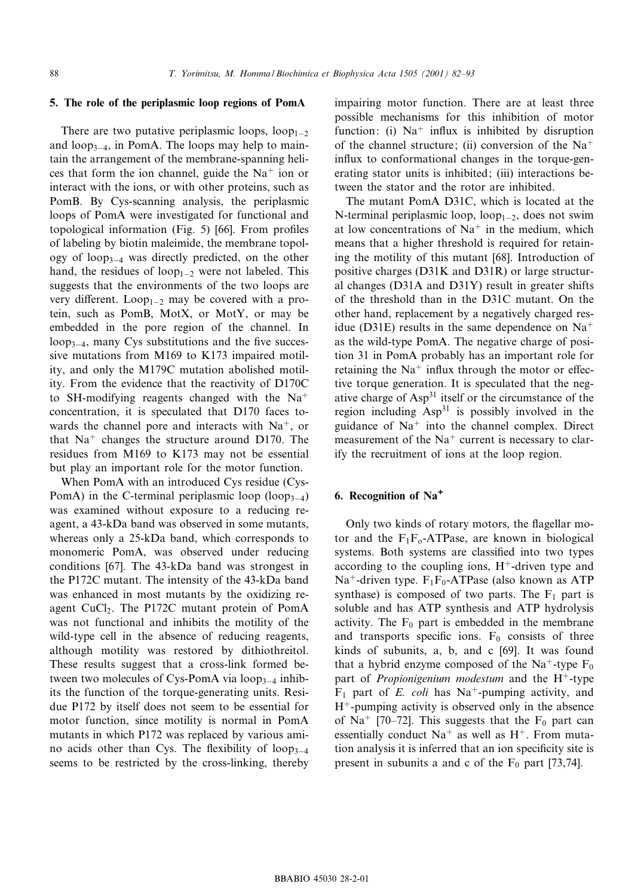## 5. The role of the periplasmic loop regions of PomA

There are two putative periplasmic loops,  $loop_{1-2}$ and  $loop_{3-4}$ , in PomA. The loops may help to maintain the arrangement of the membrane-spanning helices that form the ion channel, guide the  $Na<sup>+</sup>$  ion or interact with the ions, or with other proteins, such as PomB. By Cys-scanning analysis, the periplasmic loops of PomA were investigated for functional and topological information (Fig. 5)  $[66]$ . From profiles of labeling by biotin maleimide, the membrane topology of loop<sub>3-4</sub> was directly predicted, on the other hand, the residues of loop<sub>1-2</sub> were not labeled. This suggests that the environments of the two loops are very different. Loop<sub>1-2</sub> may be covered with a protein, such as PomB, MotX, or MotY, or may be embedded in the pore region of the channel. In  $loop_{3-4}$ , many Cys substitutions and the five successive mutations from M169 to K173 impaired motility, and only the M179C mutation abolished motility. From the evidence that the reactivity of D170C to SH-modifying reagents changed with the  $Na<sup>+</sup>$ concentration, it is speculated that D170 faces towards the channel pore and interacts with  $Na<sup>+</sup>$ , or that  $Na<sup>+</sup>$  changes the structure around D170. The residues from M169 to K173 may not be essential but play an important role for the motor function.

When PomA with an introduced Cys residue (Cys-PomA) in the C-terminal periplasmic loop (loop<sub>3-4</sub>) was examined without exposure to a reducing reagent, a 43-kDa band was observed in some mutants, whereas only a 25-kDa band, which corresponds to monomeric PomA, was observed under reducing conditions [67]. The 43-kDa band was strongest in the P172C mutant. The intensity of the 43-kDa band was enhanced in most mutants by the oxidizing reagent CuCl<sub>2</sub>. The P172C mutant protein of PomA was not functional and inhibits the motility of the wild-type cell in the absence of reducing reagents, although motility was restored by dithiothreitol. These results suggest that a cross-link formed between two molecules of Cys-PomA via  $loop_{3-4}$  inhibits the function of the torque-generating units. Residue P172 by itself does not seem to be essential for motor function, since motility is normal in PomA mutants in which P172 was replaced by various amino acids other than Cys. The flexibility of loop $_{3-4}$ seems to be restricted by the cross-linking, thereby impairing motor function. There are at least three possible mechanisms for this inhibition of motor function: (i)  $Na<sup>+</sup>$  influx is inhibited by disruption of the channel structure; (ii) conversion of the  $Na<sup>+</sup>$ influx to conformational changes in the torque-generating stator units is inhibited; (iii) interactions between the stator and the rotor are inhibited.

The mutant PomA D31C, which is located at the N-terminal periplasmic loop,  $loop_{1-2}$ , does not swim at low concentrations of  $Na<sup>+</sup>$  in the medium, which means that a higher threshold is required for retaining the motility of this mutant [68]. Introduction of positive charges (D31K and D31R) or large structural changes (D31A and D31Y) result in greater shifts of the threshold than in the D31C mutant. On the other hand, replacement by a negatively charged residue (D31E) results in the same dependence on  $Na<sup>+</sup>$ as the wild-type PomA. The negative charge of position 31 in PomA probably has an important role for retaining the  $Na<sup>+</sup>$  influx through the motor or effective torque generation. It is speculated that the negative charge of Asp31 itself or the circumstance of the region including Asp<sup>31</sup> is possibly involved in the guidance of  $Na<sup>+</sup>$  into the channel complex. Direct measurement of the  $Na<sup>+</sup>$  current is necessary to clarify the recruitment of ions at the loop region.

## 6. Recognition of Na<sup>+</sup>

Only two kinds of rotary motors, the flagellar motor and the  $F_1F_0$ -ATPase, are known in biological systems. Both systems are classified into two types according to the coupling ions,  $H^+$ -driven type and Na<sup>+</sup>-driven type.  $F_1F_0$ -ATPase (also known as ATP synthase) is composed of two parts. The  $F_1$  part is soluble and has ATP synthesis and ATP hydrolysis activity. The  $F_0$  part is embedded in the membrane and transports specific ions.  $F_0$  consists of three kinds of subunits, a, b, and c [69]. It was found that a hybrid enzyme composed of the Na<sup>+</sup>-type  $F_0$ part of *Propionigenium modestum* and the  $H^+$ -type  $F_1$  part of *E. coli* has Na<sup>+</sup>-pumping activity, and  $H^+$ -pumping activity is observed only in the absence of Na<sup>+</sup> [70–72]. This suggests that the F<sub>0</sub> part can essentially conduct  $Na<sup>+</sup>$  as well as  $H<sup>+</sup>$ . From mutation analysis it is inferred that an ion specificity site is present in subunits a and c of the  $F_0$  part [73,74].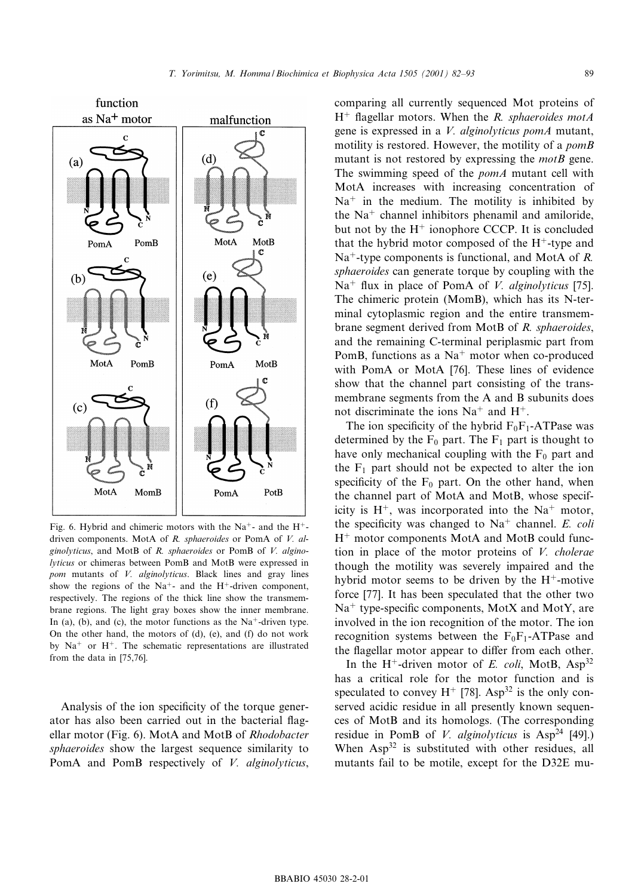

driven components. MotA of R. sphaeroides or PomA of V. alginolyticus, and MotB of R. sphaeroides or PomB of V. alginolyticus or chimeras between PomB and MotB were expressed in pom mutants of *V. alginolyticus*. Black lines and gray lines show the regions of the Na<sup>+</sup>- and the H<sup>+</sup>-driven component. respectively. The regions of the thick line show the transmembrane regions. The light gray boxes show the inner membrane. In (a), (b), and (c), the motor functions as the  $Na^+$ -driven type. On the other hand, the motors of (d), (e), and (f) do not work by  $Na<sup>+</sup>$  or H<sup>+</sup>. The schematic representations are illustrated from the data in [75,76].

Analysis of the ion specificity of the torque generator has also been carried out in the bacterial flagellar motor (Fig. 6). MotA and MotB of Rhodobacter sphaeroides show the largest sequence similarity to PomA and PomB respectively of *V. alginolyticus*, comparing all currently sequenced Mot proteins of  $H^+$  flagellar motors. When the R. sphaeroides motA gene is expressed in a V. alginolyticus pomA mutant, motility is restored. However, the motility of a *pomB* mutant is not restored by expressing the  $motB$  gene. The swimming speed of the *pomA* mutant cell with MotA increases with increasing concentration of  $Na<sup>+</sup>$  in the medium. The motility is inhibited by the  $Na<sup>+</sup>$  channel inhibitors phenamil and amiloride, but not by the  $H<sup>+</sup>$  ionophore CCCP. It is concluded that the hybrid motor composed of the  $H^+$ -type and  $Na<sup>+</sup>$ -type components is functional, and MotA of R. sphaeroides can generate torque by coupling with the  $Na<sup>+</sup>$  flux in place of PomA of *V. alginolyticus* [75]. The chimeric protein (MomB), which has its N-terminal cytoplasmic region and the entire transmembrane segment derived from MotB of R. sphaeroides, and the remaining C-terminal periplasmic part from PomB, functions as a  $Na<sup>+</sup>$  motor when co-produced with PomA or MotA [76]. These lines of evidence show that the channel part consisting of the transmembrane segments from the A and B subunits does not discriminate the ions  $Na<sup>+</sup>$  and  $H<sup>+</sup>$ .

The ion specificity of the hybrid  $F_0F_1$ -ATPase was determined by the  $F_0$  part. The  $F_1$  part is thought to have only mechanical coupling with the  $F_0$  part and the  $F_1$  part should not be expected to alter the ion specificity of the  $F_0$  part. On the other hand, when the channel part of MotA and MotB, whose specificity is  $H^+$ , was incorporated into the Na<sup>+</sup> motor, the specificity was changed to  $Na<sup>+</sup>$  channel. E. coli  $H<sup>+</sup>$  motor components MotA and MotB could function in place of the motor proteins of  $V$ . cholerae though the motility was severely impaired and the hybrid motor seems to be driven by the  $H^+$ -motive force [77]. It has been speculated that the other two  $Na<sup>+</sup>$  type-specific components, MotX and MotY, are involved in the ion recognition of the motor. The ion recognition systems between the  $F_0F_1$ -ATPase and the flagellar motor appear to differ from each other.

In the H<sup>+</sup>-driven motor of E. coli, MotB,  $Asp^{32}$ has a critical role for the motor function and is speculated to convey  $H^+$  [78]. Asp<sup>32</sup> is the only conserved acidic residue in all presently known sequences of MotB and its homologs. (The corresponding residue in PomB of V. alginolyticus is  $Asp^{24}$  [49].) When  $Asp<sup>32</sup>$  is substituted with other residues, all mutants fail to be motile, except for the D32E mu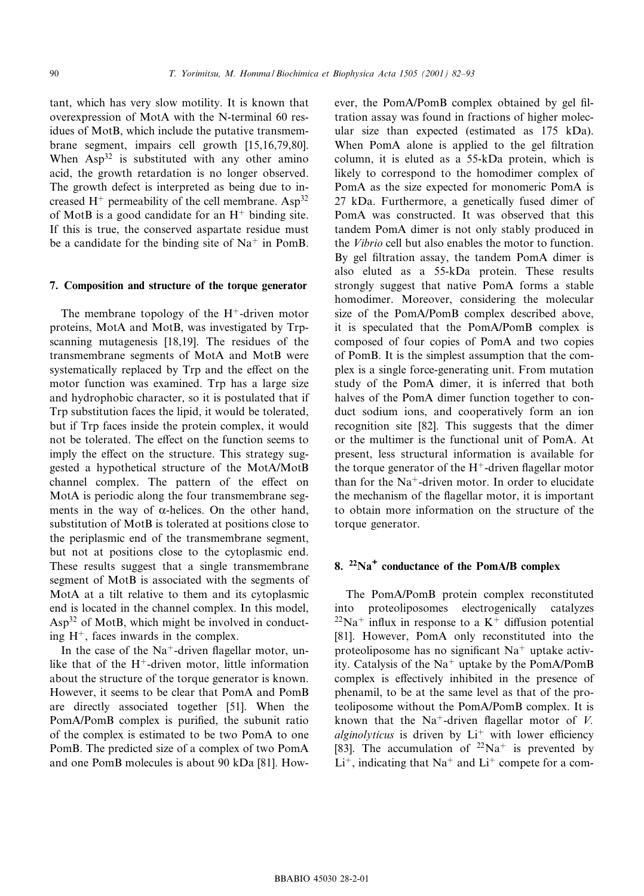tant, which has very slow motility. It is known that overexpression of MotA with the N-terminal 60 residues of MotB, which include the putative transmembrane segment, impairs cell growth [15,16,79,80]. When  $Asp^{32}$  is substituted with any other amino acid, the growth retardation is no longer observed. The growth defect is interpreted as being due to increased  $H^+$  permeability of the cell membrane. Asp<sup>32</sup> of MotB is a good candidate for an  $H^+$  binding site. If this is true, the conserved aspartate residue must be a candidate for the binding site of  $Na<sup>+</sup>$  in PomB.

#### 7. Composition and structure of the torque generator

The membrane topology of the  $H^+$ -driven motor proteins, MotA and MotB, was investigated by Trpscanning mutagenesis [18,19]. The residues of the transmembrane segments of MotA and MotB were systematically replaced by Trp and the effect on the motor function was examined. Trp has a large size and hydrophobic character, so it is postulated that if Trp substitution faces the lipid, it would be tolerated, but if Trp faces inside the protein complex, it would not be tolerated. The effect on the function seems to imply the effect on the structure. This strategy suggested a hypothetical structure of the MotA/MotB channel complex. The pattern of the effect on MotA is periodic along the four transmembrane segments in the way of  $\alpha$ -helices. On the other hand, substitution of MotB is tolerated at positions close to the periplasmic end of the transmembrane segment, but not at positions close to the cytoplasmic end. These results suggest that a single transmembrane segment of MotB is associated with the segments of MotA at a tilt relative to them and its cytoplasmic end is located in the channel complex. In this model, Asp32 of MotB, which might be involved in conducting  $H^+$ , faces inwards in the complex.

In the case of the  $Na^+$ -driven flagellar motor, unlike that of the  $H^+$ -driven motor, little information about the structure of the torque generator is known. However, it seems to be clear that PomA and PomB are directly associated together [51]. When the PomA/PomB complex is purified, the subunit ratio of the complex is estimated to be two PomA to one PomB. The predicted size of a complex of two PomA and one PomB molecules is about 90 kDa [81]. However, the PomA/PomB complex obtained by gel filtration assay was found in fractions of higher molecular size than expected (estimated as 175 kDa). When PomA alone is applied to the gel filtration column, it is eluted as a 55-kDa protein, which is likely to correspond to the homodimer complex of PomA as the size expected for monomeric PomA is 27 kDa. Furthermore, a genetically fused dimer of PomA was constructed. It was observed that this tandem PomA dimer is not only stably produced in the Vibrio cell but also enables the motor to function. By gel filtration assay, the tandem PomA dimer is also eluted as a 55-kDa protein. These results strongly suggest that native PomA forms a stable homodimer. Moreover, considering the molecular size of the PomA/PomB complex described above, it is speculated that the PomA/PomB complex is composed of four copies of PomA and two copies of PomB. It is the simplest assumption that the complex is a single force-generating unit. From mutation study of the PomA dimer, it is inferred that both halves of the PomA dimer function together to conduct sodium ions, and cooperatively form an ion recognition site [82]. This suggests that the dimer or the multimer is the functional unit of PomA. At present, less structural information is available for the torque generator of the  $H^+$ -driven flagellar motor than for the  $Na^+$ -driven motor. In order to elucidate the mechanism of the flagellar motor, it is important to obtain more information on the structure of the torque generator.

## 8.  $22\text{Na}^+$  conductance of the PomA/B complex

The PomA/PomB protein complex reconstituted into proteoliposomes electrogenically catalyzes  $^{22}Na<sup>+</sup>$  influx in response to a K<sup>+</sup> diffusion potential [81]. However, PomA only reconstituted into the proteoliposome has no significant  $Na<sup>+</sup>$  uptake activity. Catalysis of the  $Na<sup>+</sup>$  uptake by the PomA/PomB complex is effectively inhibited in the presence of phenamil, to be at the same level as that of the proteoliposome without the PomA/PomB complex. It is known that the Na<sup>+</sup>-driven flagellar motor of V. *alginolyticus* is driven by  $Li^+$  with lower efficiency [83]. The accumulation of  $22\text{Na}^+$  is prevented by  $Li<sup>+</sup>$ , indicating that Na<sup>+</sup> and  $Li<sup>+</sup>$  compete for a com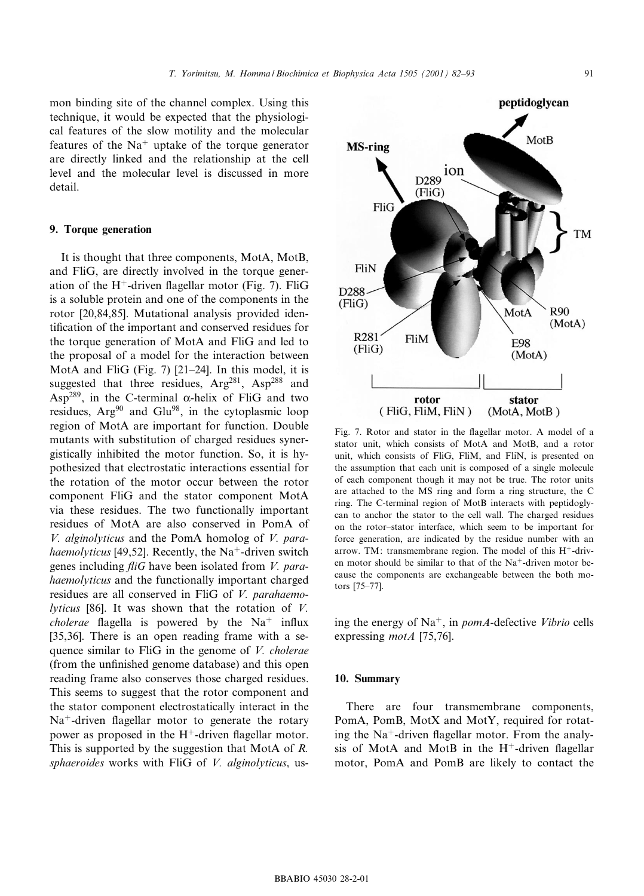mon binding site of the channel complex. Using this technique, it would be expected that the physiological features of the slow motility and the molecular features of the  $Na<sup>+</sup>$  uptake of the torque generator are directly linked and the relationship at the cell level and the molecular level is discussed in more detail.

## 9. Torque generation

It is thought that three components, MotA, MotB, and FliG, are directly involved in the torque generation of the H<sup>+</sup>-driven flagellar motor (Fig. 7). FliG is a soluble protein and one of the components in the rotor [20,84,85]. Mutational analysis provided identification of the important and conserved residues for the torque generation of MotA and FliG and led to the proposal of a model for the interaction between MotA and FliG (Fig. 7)  $[21–24]$ . In this model, it is suggested that three residues,  $Arg^{281}$ ,  $Asp^{288}$  and Asp<sup>289</sup>, in the C-terminal  $\alpha$ -helix of FliG and two residues, Arg<sup>90</sup> and Glu<sup>98</sup>, in the cytoplasmic loop region of MotA are important for function. Double mutants with substitution of charged residues synergistically inhibited the motor function. So, it is hypothesized that electrostatic interactions essential for the rotation of the motor occur between the rotor component FliG and the stator component MotA via these residues. The two functionally important residues of MotA are also conserved in PomA of V. alginolyticus and the PomA homolog of V. parahaemolyticus [49,52]. Recently, the Na<sup>+</sup>-driven switch genes including  $fliG$  have been isolated from V. parahaemolyticus and the functionally important charged residues are all conserved in FliG of V. parahaemo*lyticus* [86]. It was shown that the rotation of  $V$ . *cholerae* flagella is powered by the  $Na<sup>+</sup>$  influx [35,36]. There is an open reading frame with a sequence similar to FliG in the genome of V. cholerae (from the unfinished genome database) and this open reading frame also conserves those charged residues. This seems to suggest that the rotor component and the stator component electrostatically interact in the  $Na<sup>+</sup>$ -driven flagellar motor to generate the rotary power as proposed in the  $H^+$ -driven flagellar motor. This is supported by the suggestion that MotA of R. sphaeroides works with FliG of V. alginolyticus, us-



stator unit, which consists of MotA and MotB, and a rotor unit, which consists of FliG, FliM, and FliN, is presented on the assumption that each unit is composed of a single molecule of each component though it may not be true. The rotor units are attached to the MS ring and form a ring structure, the C ring. The C-terminal region of MotB interacts with peptidoglycan to anchor the stator to the cell wall. The charged residues on the rotor-stator interface, which seem to be important for force generation, are indicated by the residue number with an arrow. TM: transmembrane region. The model of this  $H^+$ -driven motor should be similar to that of the  $Na^+$ -driven motor because the components are exchangeable between the both motors [75-77].

ing the energy of  $Na^+$ , in *pomA*-defective *Vibrio* cells expressing *motA* [75,76].

#### 10. Summary

There are four transmembrane components, PomA, PomB, MotX and MotY, required for rotating the  $Na^+$ -driven flagellar motor. From the analysis of MotA and MotB in the  $H^+$ -driven flagellar motor, PomA and PomB are likely to contact the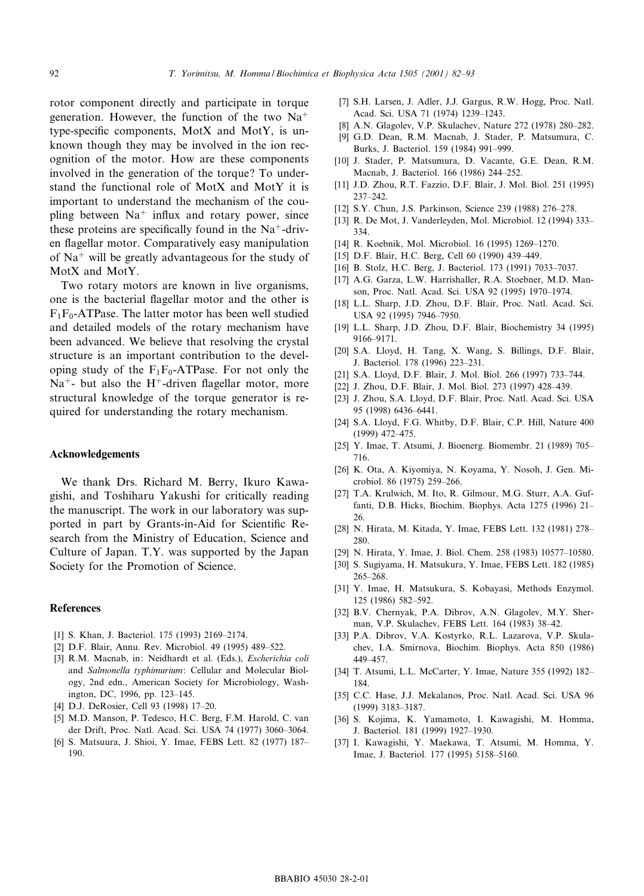rotor component directly and participate in torque generation. However, the function of the two  $Na<sup>+</sup>$ type-specific components, MotX and MotY, is unknown though they may be involved in the ion recognition of the motor. How are these components involved in the generation of the torque? To understand the functional role of MotX and MotY it is important to understand the mechanism of the coupling between  $Na<sup>+</sup>$  influx and rotary power, since these proteins are specifically found in the  $Na^+$ -driven flagellar motor. Comparatively easy manipulation of  $Na<sup>+</sup>$  will be greatly advantageous for the study of MotX and MotY.

Two rotary motors are known in live organisms, one is the bacterial flagellar motor and the other is  $F_1F_0$ -ATPase. The latter motor has been well studied and detailed models of the rotary mechanism have been advanced. We believe that resolving the crystal structure is an important contribution to the developing study of the  $F_1F_0$ -ATPase. For not only the Na<sup>+</sup>- but also the H<sup>+</sup>-driven flagellar motor, more structural knowledge of the torque generator is required for understanding the rotary mechanism.

### Acknowledgements

We thank Drs. Richard M. Berry, Ikuro Kawagishi, and Toshiharu Yakushi for critically reading the manuscript. The work in our laboratory was supported in part by Grants-in-Aid for Scientific Research from the Ministry of Education, Science and Culture of Japan. T.Y. was supported by the Japan Society for the Promotion of Science.

#### References

- [1] S. Khan, J. Bacteriol. 175 (1993) 2169-2174.
- [2] D.F. Blair, Annu. Rev. Microbiol. 49 (1995) 489-522.
- [3] R.M. Macnab, in: Neidhardt et al. (Eds.), Escherichia coli and Salmonella typhimurium: Cellular and Molecular Biology, 2nd edn., American Society for Microbiology, Washington, DC, 1996, pp. 123^145.
- [4] D.J. DeRosier, Cell 93 (1998) 17-20.
- [5] M.D. Manson, P. Tedesco, H.C. Berg, F.M. Harold, C. van der Drift, Proc. Natl. Acad. Sci. USA 74 (1977) 3060^3064.
- [6] S. Matsuura, J. Shioi, Y. Imae, FEBS Lett. 82 (1977) 187^ 190.
- [7] S.H. Larsen, J. Adler, J.J. Gargus, R.W. Hogg, Proc. Natl. Acad. Sci. USA 71 (1974) 1239-1243.
- [8] A.N. Glagolev, V.P. Skulachev, Nature 272 (1978) 280-282.
- [9] G.D. Dean, R.M. Macnab, J. Stader, P. Matsumura, C. Burks, J. Bacteriol. 159 (1984) 991^999.
- [10] J. Stader, P. Matsumura, D. Vacante, G.E. Dean, R.M. Macnab, J. Bacteriol. 166 (1986) 244^252.
- [11] J.D. Zhou, R.T. Fazzio, D.F. Blair, J. Mol. Biol. 251 (1995)  $237 - 242$ .
- [12] S.Y. Chun, J.S. Parkinson, Science 239 (1988) 276-278.
- [13] R. De Mot, J. Vanderleyden, Mol. Microbiol. 12 (1994) 333– 334.
- [14] R. Koebnik, Mol. Microbiol. 16 (1995) 1269-1270.
- [15] D.F. Blair, H.C. Berg, Cell 60 (1990) 439-449.
- [16] B. Stolz, H.C. Berg, J. Bacteriol. 173 (1991) 7033-7037.
- [17] A.G. Garza, L.W. Harrishaller, R.A. Stoebner, M.D. Manson, Proc. Natl. Acad. Sci. USA 92 (1995) 1970^1974.
- [18] L.L. Sharp, J.D. Zhou, D.F. Blair, Proc. Natl. Acad. Sci. USA 92 (1995) 7946-7950.
- [19] L.L. Sharp, J.D. Zhou, D.F. Blair, Biochemistry 34 (1995) 9166^9171.
- [20] S.A. Lloyd, H. Tang, X. Wang, S. Billings, D.F. Blair, J. Bacteriol. 178 (1996) 223^231.
- [21] S.A. Lloyd, D.F. Blair, J. Mol. Biol. 266 (1997) 733-744.
- [22] J. Zhou, D.F. Blair, J. Mol. Biol. 273 (1997) 428^439.
- [23] J. Zhou, S.A. Lloyd, D.F. Blair, Proc. Natl. Acad. Sci. USA 95 (1998) 6436^6441.
- [24] S.A. Lloyd, F.G. Whitby, D.F. Blair, C.P. Hill, Nature 400 (1999) 472^475.
- [25] Y. Imae, T. Atsumi, J. Bioenerg. Biomembr. 21 (1989) 705– 716.
- [26] K. Ota, A. Kiyomiya, N. Koyama, Y. Nosoh, J. Gen. Microbiol. 86 (1975) 259^266.
- [27] T.A. Krulwich, M. Ito, R. Gilmour, M.G. Sturr, A.A. Guffanti, D.B. Hicks, Biochim. Biophys. Acta 1275 (1996) 21^ 26.
- [28] N. Hirata, M. Kitada, Y. Imae, FEBS Lett. 132 (1981) 278^ 280.
- [29] N. Hirata, Y. Imae, J. Biol. Chem. 258 (1983) 10577-10580.
- [30] S. Sugiyama, H. Matsukura, Y. Imae, FEBS Lett. 182 (1985) 265^268.
- [31] Y. Imae, H. Matsukura, S. Kobayasi, Methods Enzymol. 125 (1986) 582^592.
- [32] B.V. Chernyak, P.A. Dibrov, A.N. Glagolev, M.Y. Sherman, V.P. Skulachev, FEBS Lett. 164 (1983) 38^42.
- [33] P.A. Dibrov, V.A. Kostyrko, R.L. Lazarova, V.P. Skulachev, I.A. Smirnova, Biochim. Biophys. Acta 850 (1986) 449^457.
- [34] T. Atsumi, L.L. McCarter, Y. Imae, Nature 355 (1992) 182-184.
- [35] C.C. Hase, J.J. Mekalanos, Proc. Natl. Acad. Sci. USA 96 (1999) 3183^3187.
- [36] S. Kojima, K. Yamamoto, I. Kawagishi, M. Homma, J. Bacteriol. 181 (1999) 1927^1930.
- [37] I. Kawagishi, Y. Maekawa, T. Atsumi, M. Homma, Y. Imae, J. Bacteriol. 177 (1995) 5158^5160.